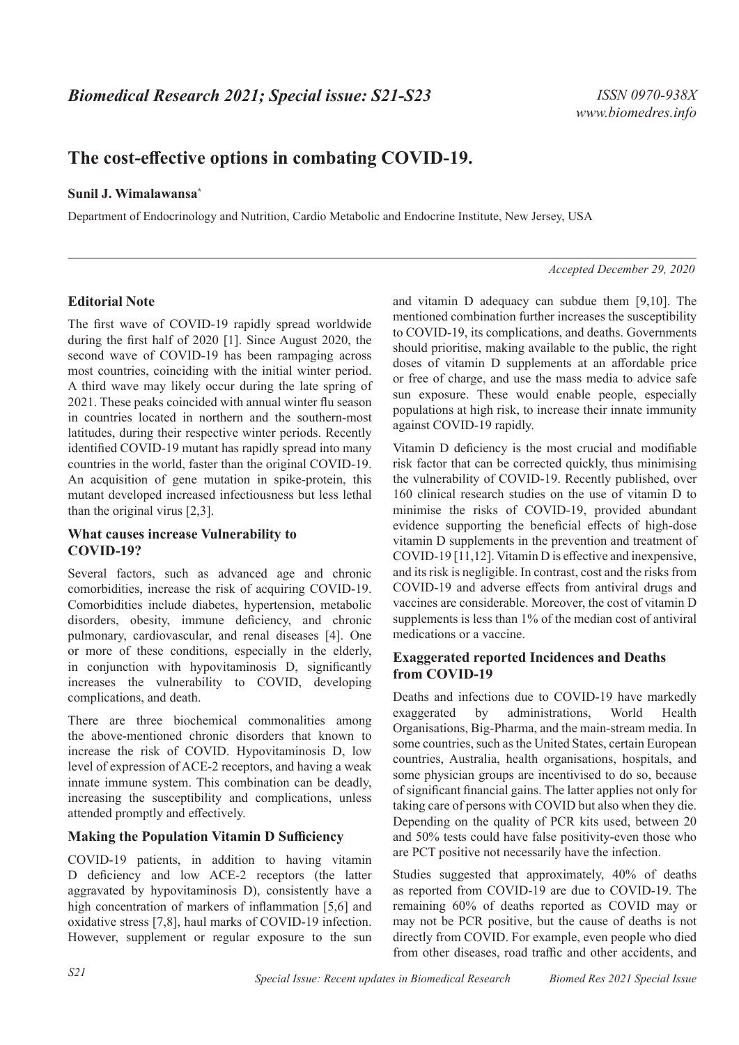# **The cost-effective options in combating COVID-19.**

#### **Sunil J. Wimalawansa\***

Department of Endocrinology and Nutrition, Cardio Metabolic and Endocrine Institute, New Jersey, USA

#### *Accepted December 29, 2020*

#### **Editorial Note**

The first wave of COVID-19 rapidly spread worldwide during the first half of 2020 [1]. Since August 2020, the second wave of COVID-19 has been rampaging across most countries, coinciding with the initial winter period. A third wave may likely occur during the late spring of 2021. These peaks coincided with annual winter flu season in countries located in northern and the southern-most latitudes, during their respective winter periods. Recently identified COVID-19 mutant has rapidly spread into many countries in the world, faster than the original COVID-19. An acquisition of gene mutation in spike-protein, this mutant developed increased infectiousness but less lethal than the original virus [2,3].

# **What causes increase Vulnerability to COVID-19?**

Several factors, such as advanced age and chronic comorbidities, increase the risk of acquiring COVID-19. Comorbidities include diabetes, hypertension, metabolic disorders, obesity, immune deficiency, and chronic pulmonary, cardiovascular, and renal diseases [4]. One or more of these conditions, especially in the elderly, in conjunction with hypovitaminosis D, significantly increases the vulnerability to COVID, developing complications, and death.

There are three biochemical commonalities among the above-mentioned chronic disorders that known to increase the risk of COVID. Hypovitaminosis D, low level of expression of ACE-2 receptors, and having a weak innate immune system. This combination can be deadly, increasing the susceptibility and complications, unless attended promptly and effectively.

#### **Making the Population Vitamin D Sufficiency**

COVID-19 patients, in addition to having vitamin D deficiency and low ACE-2 receptors (the latter aggravated by hypovitaminosis D), consistently have a high concentration of markers of inflammation [5,6] and oxidative stress [7,8], haul marks of COVID-19 infection. However, supplement or regular exposure to the sun and vitamin D adequacy can subdue them [9,10]. The mentioned combination further increases the susceptibility to COVID-19, its complications, and deaths. Governments should prioritise, making available to the public, the right doses of vitamin D supplements at an affordable price or free of charge, and use the mass media to advice safe sun exposure. These would enable people, especially populations at high risk, to increase their innate immunity against COVID-19 rapidly.

Vitamin D deficiency is the most crucial and modifiable risk factor that can be corrected quickly, thus minimising the vulnerability of COVID-19. Recently published, over 160 clinical research studies on the use of vitamin D to minimise the risks of COVID-19, provided abundant evidence supporting the beneficial effects of high-dose vitamin D supplements in the prevention and treatment of COVID-19 [11,12]. Vitamin D is effective and inexpensive, and its risk is negligible. In contrast, cost and the risks from COVID-19 and adverse effects from antiviral drugs and vaccines are considerable. Moreover, the cost of vitamin D supplements is less than 1% of the median cost of antiviral medications or a vaccine.

# **Exaggerated reported Incidences and Deaths from COVID-19**

Deaths and infections due to COVID-19 have markedly exaggerated by administrations, World Health Organisations, Big-Pharma, and the main-stream media. In some countries, such as the United States, certain European countries, Australia, health organisations, hospitals, and some physician groups are incentivised to do so, because of significant financial gains. The latter applies not only for taking care of persons with COVID but also when they die. Depending on the quality of PCR kits used, between 20 and 50% tests could have false positivity-even those who are PCT positive not necessarily have the infection.

Studies suggested that approximately, 40% of deaths as reported from COVID-19 are due to COVID-19. The remaining 60% of deaths reported as COVID may or may not be PCR positive, but the cause of deaths is not directly from COVID. For example, even people who died from other diseases, road traffic and other accidents, and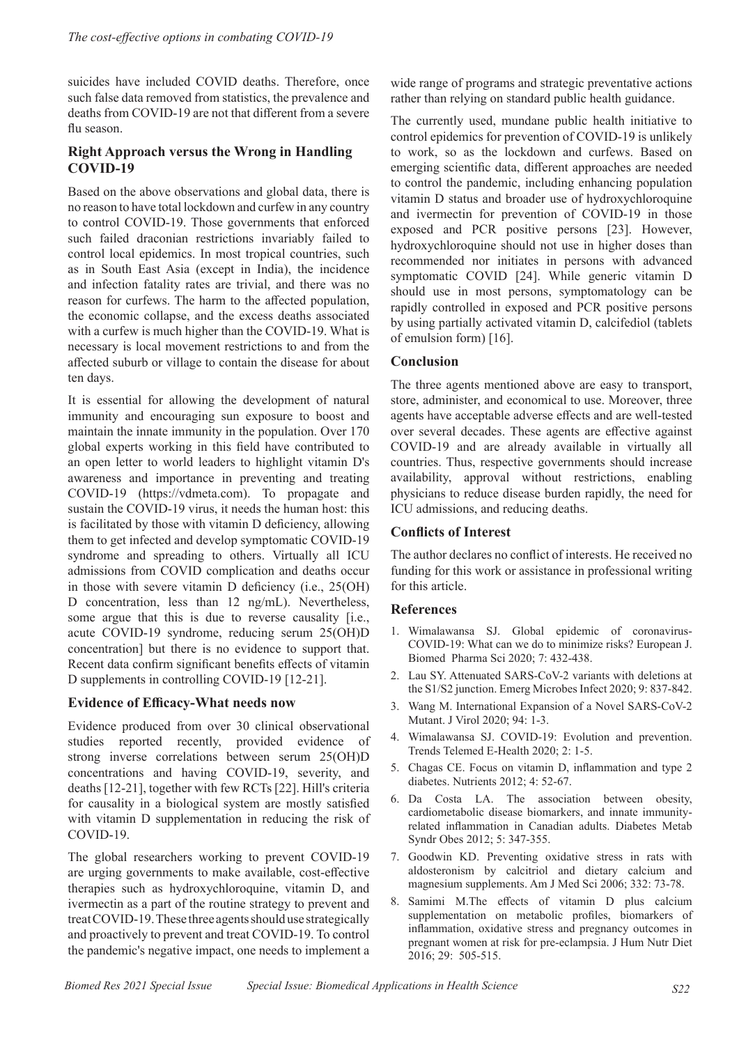suicides have included COVID deaths. Therefore, once such false data removed from statistics, the prevalence and deaths from COVID-19 are not that different from a severe flu season.

# **Right Approach versus the Wrong in Handling COVID-19**

Based on the above observations and global data, there is no reason to have total lockdown and curfew in any country to control COVID-19. Those governments that enforced such failed draconian restrictions invariably failed to control local epidemics. In most tropical countries, such as in South East Asia (except in India), the incidence and infection fatality rates are trivial, and there was no reason for curfews. The harm to the affected population, the economic collapse, and the excess deaths associated with a curfew is much higher than the COVID-19. What is necessary is local movement restrictions to and from the affected suburb or village to contain the disease for about ten days.

It is essential for allowing the development of natural immunity and encouraging sun exposure to boost and maintain the innate immunity in the population. Over 170 global experts working in this field have contributed to an open letter to world leaders to highlight vitamin D's awareness and importance in preventing and treating COVID-19 (https://vdmeta.com). To propagate and sustain the COVID-19 virus, it needs the human host: this is facilitated by those with vitamin D deficiency, allowing them to get infected and develop symptomatic COVID-19 syndrome and spreading to others. Virtually all ICU admissions from COVID complication and deaths occur in those with severe vitamin D deficiency (i.e., 25(OH) D concentration, less than 12 ng/mL). Nevertheless, some argue that this is due to reverse causality [i.e., acute COVID-19 syndrome, reducing serum 25(OH)D concentration] but there is no evidence to support that. Recent data confirm significant benefits effects of vitamin D supplements in controlling COVID-19 [12-21].

# **Evidence of Efficacy-What needs now**

Evidence produced from over 30 clinical observational studies reported recently, provided evidence of strong inverse correlations between serum 25(OH)D concentrations and having COVID-19, severity, and deaths [12-21], together with few RCTs [22]. Hill's criteria for causality in a biological system are mostly satisfied with vitamin D supplementation in reducing the risk of COVID-19.

The global researchers working to prevent COVID-19 are urging governments to make available, cost-effective therapies such as hydroxychloroquine, vitamin D, and ivermectin as a part of the routine strategy to prevent and treat COVID-19. These three agents should use strategically and proactively to prevent and treat COVID-19. To control the pandemic's negative impact, one needs to implement a

wide range of programs and strategic preventative actions rather than relying on standard public health guidance.

The currently used, mundane public health initiative to control epidemics for prevention of COVID-19 is unlikely to work, so as the lockdown and curfews. Based on emerging scientific data, different approaches are needed to control the pandemic, including enhancing population vitamin D status and broader use of hydroxychloroquine and ivermectin for prevention of COVID-19 in those exposed and PCR positive persons [23]. However, hydroxychloroquine should not use in higher doses than recommended nor initiates in persons with advanced symptomatic COVID [24]. While generic vitamin D should use in most persons, symptomatology can be rapidly controlled in exposed and PCR positive persons by using partially activated vitamin D, calcifediol (tablets of emulsion form) [16].

# **Conclusion**

The three agents mentioned above are easy to transport, store, administer, and economical to use. Moreover, three agents have acceptable adverse effects and are well-tested over several decades. These agents are effective against COVID-19 and are already available in virtually all countries. Thus, respective governments should increase availability, approval without restrictions, enabling physicians to reduce disease burden rapidly, the need for ICU admissions, and reducing deaths.

# **Conflicts of Interest**

The author declares no conflict of interests. He received no funding for this work or assistance in professional writing for this article.

#### **References**

- 1. Wimalawansa SJ. Global epidemic of coronavirus-COVID-19: What can we do to minimize risks? European J. Biomed Pharma Sci 2020; 7: 432-438.
- 2. Lau SY. Attenuated SARS-CoV-2 variants with deletions at the S1/S2 junction. Emerg Microbes Infect 2020; 9: 837-842.
- 3. Wang M. International Expansion of a Novel SARS-CoV-2 Mutant. J Virol 2020; 94: 1-3.
- 4. Wimalawansa SJ. COVID-19: Evolution and prevention. Trends Telemed E-Health 2020; 2: 1-5.
- 5. Chagas CE. Focus on vitamin D, inflammation and type 2 diabetes. Nutrients 2012; 4: 52-67.
- 6. Da Costa LA. The association between obesity, cardiometabolic disease biomarkers, and innate immunityrelated inflammation in Canadian adults. Diabetes Metab Syndr Obes 2012; 5: 347-355.
- 7. Goodwin KD. Preventing oxidative stress in rats with aldosteronism by calcitriol and dietary calcium and magnesium supplements. Am J Med Sci 2006; 332: 73-78.
- 8. Samimi M.The effects of vitamin D plus calcium supplementation on metabolic profiles, biomarkers of inflammation, oxidative stress and pregnancy outcomes in pregnant women at risk for pre-eclampsia. J Hum Nutr Diet 2016; 29: 505-515.